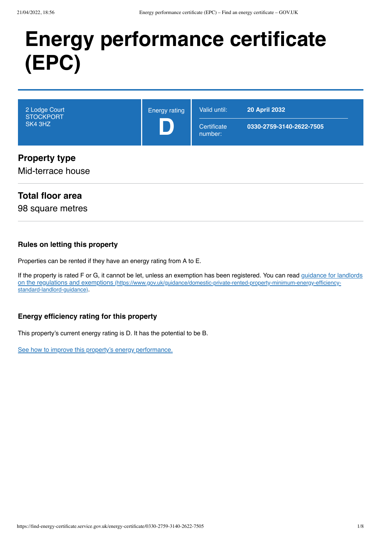# **Energy performance certificate (EPC)**

| 2 Lodge Court<br><b>STOCKPORT</b><br>SK4 3HZ | <b>Energy rating</b> | Valid until:<br>Certificate<br>number: | <b>20 April 2032</b><br>0330-2759-3140-2622-7505 |
|----------------------------------------------|----------------------|----------------------------------------|--------------------------------------------------|
| <b>Property type</b><br>Mid-terrace house    |                      |                                        |                                                  |

## **Total floor area**

98 square metres

#### **Rules on letting this property**

Properties can be rented if they have an energy rating from A to E.

[If the property is rated F or G, it cannot be let, unless an exemption has been registered. You can read guidance for landlords](https://www.gov.uk/guidance/domestic-private-rented-property-minimum-energy-efficiency-standard-landlord-guidance) on the regulations and exemptions (https://www.gov.uk/guidance/domestic-private-rented-property-minimum-energy-efficiencystandard-landlord-guidance).

### **Energy efficiency rating for this property**

This property's current energy rating is D. It has the potential to be B.

[See how to improve this property's energy performance.](#page-3-0)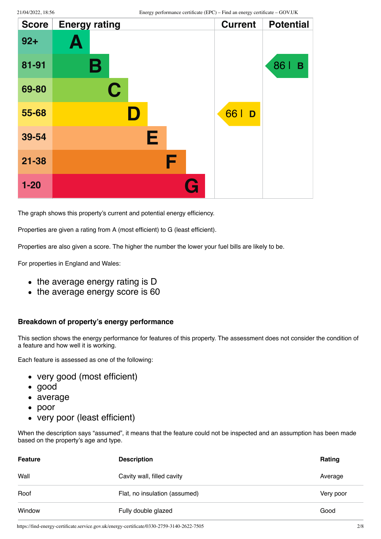| <b>Score</b> | <b>Energy rating</b> | <b>Current</b> | <b>Potential</b> |
|--------------|----------------------|----------------|------------------|
| $92 +$       | Ą                    |                |                  |
| 81-91        | В                    |                | 86  <br>B        |
| 69-80        | $\mathbf C$          |                |                  |
| 55-68        | D                    | 66  <br>D      |                  |
| 39-54        | Е                    |                |                  |
| $21 - 38$    | F                    |                |                  |
| $1 - 20$     |                      |                |                  |

The graph shows this property's current and potential energy efficiency.

Properties are given a rating from A (most efficient) to G (least efficient).

Properties are also given a score. The higher the number the lower your fuel bills are likely to be.

For properties in England and Wales:

- the average energy rating is D
- the average energy score is 60

#### **Breakdown of property's energy performance**

This section shows the energy performance for features of this property. The assessment does not consider the condition of a feature and how well it is working.

Each feature is assessed as one of the following:

- very good (most efficient)
- good
- average
- poor
- very poor (least efficient)

When the description says "assumed", it means that the feature could not be inspected and an assumption has been made based on the property's age and type.

| <b>Feature</b> | <b>Description</b>            | <b>Rating</b> |
|----------------|-------------------------------|---------------|
| Wall           | Cavity wall, filled cavity    | Average       |
| Roof           | Flat, no insulation (assumed) | Very poor     |
| Window         | Fully double glazed           | Good          |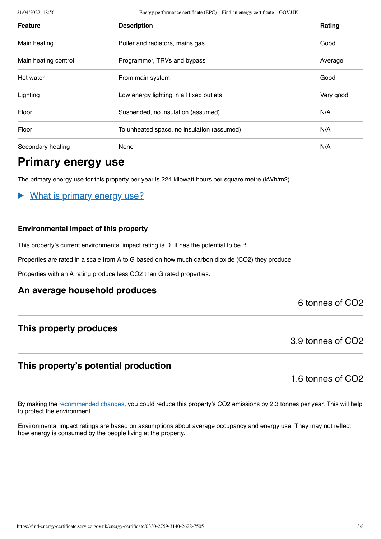21/04/2022, 18:56 Energy performance certificate (EPC) – Find an energy certificate – GOV.UK

| <b>Feature</b>       | <b>Description</b>                         | <b>Rating</b> |
|----------------------|--------------------------------------------|---------------|
| Main heating         | Boiler and radiators, mains gas            | Good          |
| Main heating control | Programmer, TRVs and bypass                | Average       |
| Hot water            | From main system                           | Good          |
| Lighting             | Low energy lighting in all fixed outlets   | Very good     |
| Floor                | Suspended, no insulation (assumed)         | N/A           |
| Floor                | To unheated space, no insulation (assumed) | N/A           |
| Secondary heating    | None                                       | N/A           |

# **Primary energy use**

The primary energy use for this property per year is 224 kilowatt hours per square metre (kWh/m2).

## What is primary energy use?

#### **Environmental impact of this property**

This property's current environmental impact rating is D. It has the potential to be B.

Properties are rated in a scale from A to G based on how much carbon dioxide (CO2) they produce.

Properties with an A rating produce less CO2 than G rated properties.

### **An average household produces**

### 6 tonnes of CO2

## **This property produces**

3.9 tonnes of CO2

## **This property's potential production**

1.6 tonnes of CO2

By making the [recommended changes](#page-3-0), you could reduce this property's CO2 emissions by 2.3 tonnes per year. This will help to protect the environment.

Environmental impact ratings are based on assumptions about average occupancy and energy use. They may not reflect how energy is consumed by the people living at the property.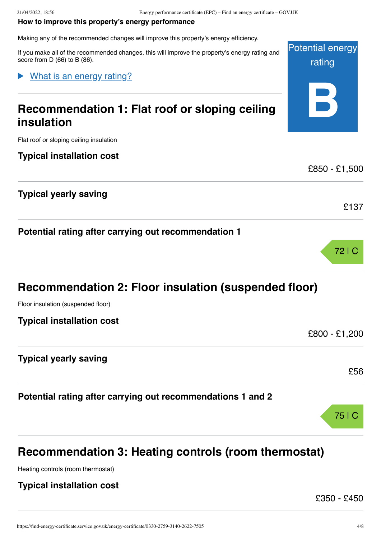#### <span id="page-3-0"></span>**How to improve this property's energy performance**

Making any of the recommended changes will improve this property's energy efficiency.

Potential energy rating **B** If you make all of the recommended changes, this will improve the property's energy rating and score from D (66) to B (86). **Recommendation 1: Flat roof or sloping ceiling insulation** Flat roof or sloping ceiling insulation **Typical installation cost** £850 - £1,500 **Typical yearly saving** £137 **Potential rating after carrying out recommendation 1** 72 | C What is an energy rating?

# **Recommendation 2: Floor insulation (suspended floor)**

Floor insulation (suspended floor)

**Typical installation cost**

£800 - £1,200

£56

75 | C

**Typical yearly saving**

**Potential rating after carrying out recommendations 1 and 2**

# **Recommendation 3: Heating controls (room thermostat)**

Heating controls (room thermostat)

### **Typical installation cost**

£350 - £450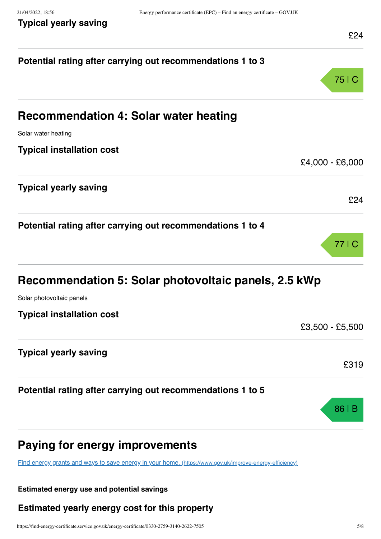| Potential rating after carrying out recommendations 1 to 3                                              |                 |
|---------------------------------------------------------------------------------------------------------|-----------------|
|                                                                                                         | 75   C          |
| <b>Recommendation 4: Solar water heating</b>                                                            |                 |
| Solar water heating                                                                                     |                 |
| <b>Typical installation cost</b>                                                                        |                 |
|                                                                                                         | £4,000 - £6,000 |
| <b>Typical yearly saving</b>                                                                            |                 |
|                                                                                                         | £24             |
| Potential rating after carrying out recommendations 1 to 4                                              |                 |
|                                                                                                         | 77   C          |
|                                                                                                         |                 |
| Recommendation 5: Solar photovoltaic panels, 2.5 kWp                                                    |                 |
| Solar photovoltaic panels                                                                               |                 |
| <b>Typical installation cost</b>                                                                        | £3,500 - £5,500 |
|                                                                                                         |                 |
| <b>Typical yearly saving</b>                                                                            | £319            |
|                                                                                                         |                 |
| Potential rating after carrying out recommendations 1 to 5                                              |                 |
|                                                                                                         | 86   B          |
| Paying for energy improvements                                                                          |                 |
| Find energy grants and ways to save energy in your home. (https://www.gov.uk/improve-energy-efficiency) |                 |
|                                                                                                         |                 |

## **Estimated energy use and potential savings**

## **Estimated yearly energy cost for this property**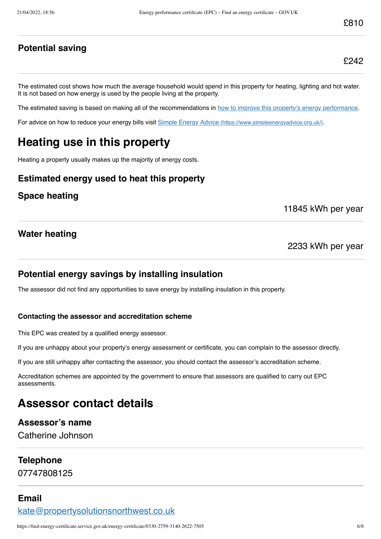## **Potential saving**

£242

The estimated cost shows how much the average household would spend in this property for heating, lighting and hot water. It is not based on how energy is used by the people living at the property.

The estimated saving is based on making all of the recommendations in [how to improve this property's energy performance.](#page-3-0)

For advice on how to reduce your energy bills visit Simple Energy Advice [\(https://www.simpleenergyadvice.org.uk/\)](https://www.simpleenergyadvice.org.uk/).

# **Heating use in this property**

Heating a property usually makes up the majority of energy costs.

## **Estimated energy used to heat this property**

#### **Space heating**

11845 kWh per year

### **Water heating**

#### 2233 kWh per year

### **Potential energy savings by installing insulation**

The assessor did not find any opportunities to save energy by installing insulation in this property.

#### **Contacting the assessor and accreditation scheme**

This EPC was created by a qualified energy assessor.

If you are unhappy about your property's energy assessment or certificate, you can complain to the assessor directly.

If you are still unhappy after contacting the assessor, you should contact the assessor's accreditation scheme.

Accreditation schemes are appointed by the government to ensure that assessors are qualified to carry out EPC assessments.

# **Assessor contact details**

#### **Assessor's name**

Catherine Johnson

#### **Telephone**

07747808125

### **Email**

[kate@propertysolutionsnorthwest.co.uk](mailto:kate@propertysolutionsnorthwest.co.uk)